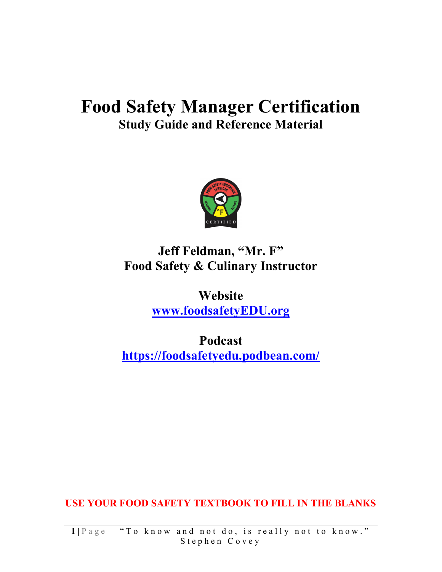## Food Safety Manager Certification Study Guide and Reference Material



### Jeff Feldman, "Mr. F" Food Safety & Culinary Instructor

Website www.foodsafetyEDU.org

Podcast https://foodsafetyedu.podbean.com/

USE YOUR FOOD SAFETY TEXTBOOK TO FILL IN THE BLANKS

1 | Page " To know and not do, is really not to know." Stephen Covey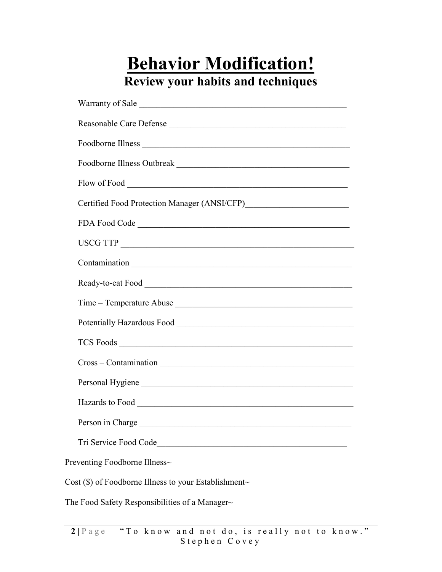# Behavior Modification! Review your habits and techniques

| Warranty of Sale                                        |
|---------------------------------------------------------|
| Reasonable Care Defense                                 |
|                                                         |
|                                                         |
|                                                         |
|                                                         |
|                                                         |
|                                                         |
|                                                         |
|                                                         |
|                                                         |
|                                                         |
|                                                         |
|                                                         |
| Personal Hygiene                                        |
|                                                         |
| Person in Charge                                        |
| Tri Service Food Code                                   |
| Preventing Foodborne Illness~                           |
| Cost $(\$)$ of Foodborne Illness to your Establishment~ |

The Food Safety Responsibilities of a Manager~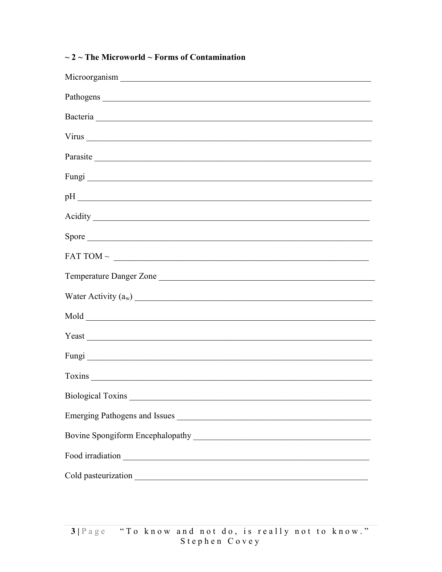| Parasite and the contract of the contract of the contract of the contract of the contract of the contract of the contract of the contract of the contract of the contract of the contract of the contract of the contract of t       |
|--------------------------------------------------------------------------------------------------------------------------------------------------------------------------------------------------------------------------------------|
|                                                                                                                                                                                                                                      |
|                                                                                                                                                                                                                                      |
| Acidity <u>and the community of the community of the community of the community of the community of the community of the community of the community of the community of the community of the community of the community of the c</u> |
| Spore                                                                                                                                                                                                                                |
|                                                                                                                                                                                                                                      |
| Temperature Danger Zone                                                                                                                                                                                                              |
| Water Activity $(a_w)$                                                                                                                                                                                                               |
|                                                                                                                                                                                                                                      |
|                                                                                                                                                                                                                                      |
|                                                                                                                                                                                                                                      |
|                                                                                                                                                                                                                                      |
|                                                                                                                                                                                                                                      |
|                                                                                                                                                                                                                                      |
|                                                                                                                                                                                                                                      |
| Food irradiation experience of the contract of the contract of the contract of the contract of the contract of                                                                                                                       |
|                                                                                                                                                                                                                                      |

#### $\sim$  2  $\sim$  The Microworld  $\sim$  Forms of Contamination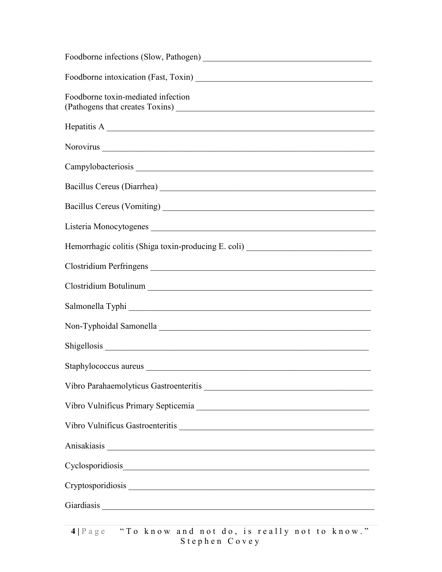| Foodborne toxin-mediated infection                                                                                                                                                                                             |
|--------------------------------------------------------------------------------------------------------------------------------------------------------------------------------------------------------------------------------|
| Hepatitis A                                                                                                                                                                                                                    |
|                                                                                                                                                                                                                                |
|                                                                                                                                                                                                                                |
|                                                                                                                                                                                                                                |
|                                                                                                                                                                                                                                |
|                                                                                                                                                                                                                                |
| Hemorrhagic colitis (Shiga toxin-producing E. coli) ____________________________                                                                                                                                               |
| Clostridium Perfringens                                                                                                                                                                                                        |
|                                                                                                                                                                                                                                |
|                                                                                                                                                                                                                                |
|                                                                                                                                                                                                                                |
|                                                                                                                                                                                                                                |
|                                                                                                                                                                                                                                |
|                                                                                                                                                                                                                                |
|                                                                                                                                                                                                                                |
|                                                                                                                                                                                                                                |
|                                                                                                                                                                                                                                |
| Cyclosporidiosis experimental contract of the contract of the contract of the contract of the contract of the contract of the contract of the contract of the contract of the contract of the contract of the contract of the  |
|                                                                                                                                                                                                                                |
| Giardiasis et al. 2003. Contract and the contract of the contract of the contract of the contract of the contract of the contract of the contract of the contract of the contract of the contract of the contract of the contr |
|                                                                                                                                                                                                                                |

4 | P a g e " T o k n o w a n d n o t d o , is really n o t t o k n o w ."  $S$  t e p h e n  $C$  o v e y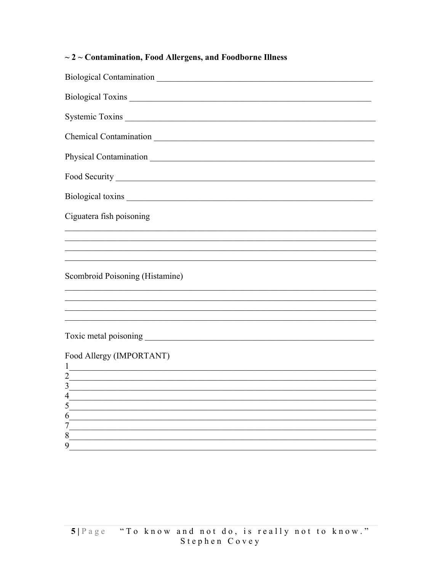#### $\sim$  2  $\sim$  Contamination, Food Allergens, and Foodborne Illness

| Chemical Contamination<br><u>Expansion</u><br><u>Expansion</u><br><u>Expansion</u><br><u>Expansion</u>              |
|---------------------------------------------------------------------------------------------------------------------|
|                                                                                                                     |
|                                                                                                                     |
| Biological toxins                                                                                                   |
| Ciguatera fish poisoning                                                                                            |
|                                                                                                                     |
|                                                                                                                     |
| ,我们也不能在这里的时候,我们也不能在这里的时候,我们也不能会在这里的时候,我们也不能会在这里的时候,我们也不能会在这里的时候,我们也不能会在这里的时候,我们也<br>Scombroid Poisoning (Histamine) |
|                                                                                                                     |
|                                                                                                                     |
|                                                                                                                     |
| Food Allergy (IMPORTANT)<br>$\mathbf{1}$                                                                            |
| $\overline{2}$                                                                                                      |
| 3<br>$\lambda$                                                                                                      |
|                                                                                                                     |
|                                                                                                                     |
|                                                                                                                     |
| 8<br>9                                                                                                              |
|                                                                                                                     |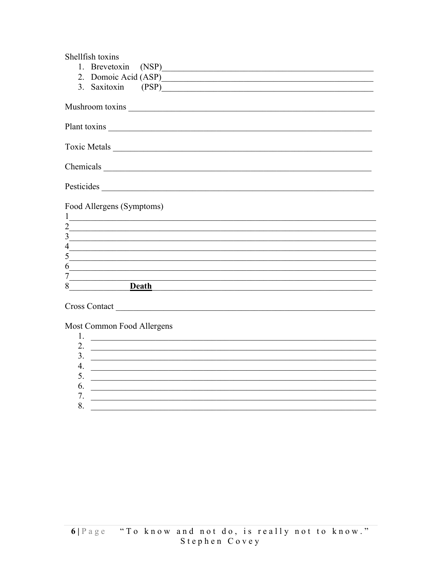| Shellfish toxins                                                                                                                     |
|--------------------------------------------------------------------------------------------------------------------------------------|
| 1. Brevetoxin (NSP)                                                                                                                  |
| 2. Domoic Acid (ASP)                                                                                                                 |
| 3. Saxitoxin (PSP)                                                                                                                   |
|                                                                                                                                      |
|                                                                                                                                      |
|                                                                                                                                      |
|                                                                                                                                      |
|                                                                                                                                      |
|                                                                                                                                      |
|                                                                                                                                      |
|                                                                                                                                      |
|                                                                                                                                      |
|                                                                                                                                      |
|                                                                                                                                      |
| Food Allergens (Symptoms)                                                                                                            |
| $\mathbf{1}$<br><u> 1980 - Antonio Alemania, presidente e un antonio de la contrada de la contrada de la contrada de la contrada</u> |
| $\overline{2}$<br>$\overline{3}$                                                                                                     |
|                                                                                                                                      |
| $\overline{\mathcal{L}}$<br>,我们也不能在这里的时候,我们也不能在这里的时候,我们也不能会在这里的时候,我们也不能会在这里的时候,我们也不能会在这里的时候,我们也不能会在这里的时候,我们也<br>5                    |
| <u> 1989 - Johann John Stoff, deutscher Stoffen und der Stoffen und der Stoffen und der Stoffen und der Stoffen u</u>                |
| 6<br><u> 1989 - Jan James James James James James James James James James James James James James James James James J</u><br>7       |
| 8<br>Death                                                                                                                           |
|                                                                                                                                      |

Most Common Food Allergens

| ۷.      |  |
|---------|--|
| 3.      |  |
| Δ<br>┱. |  |
| J.      |  |
| 6.      |  |
| 7.      |  |
|         |  |
|         |  |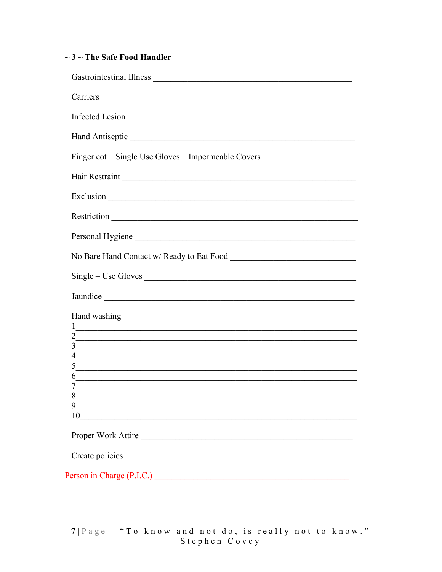#### $\sim$  3  $\sim$  The Safe Food Handler

| Carriers and the community of the community of the community of the community of the community of the community of the community of the community of the community of the community of the community of the community of the c                      |
|-----------------------------------------------------------------------------------------------------------------------------------------------------------------------------------------------------------------------------------------------------|
|                                                                                                                                                                                                                                                     |
| Hand Antiseptic New York Changes and Antiseptic                                                                                                                                                                                                     |
| Finger cot – Single Use Gloves – Impermeable Covers ____________________________                                                                                                                                                                    |
|                                                                                                                                                                                                                                                     |
|                                                                                                                                                                                                                                                     |
|                                                                                                                                                                                                                                                     |
| Personal Hygiene                                                                                                                                                                                                                                    |
|                                                                                                                                                                                                                                                     |
|                                                                                                                                                                                                                                                     |
|                                                                                                                                                                                                                                                     |
| Hand washing                                                                                                                                                                                                                                        |
| $\frac{1}{2}$ . The contract of the contract of the contract of the contract of the contract of the contract of the contract of the contract of the contract of the contract of the contract of the contract of the contract of t<br>$\overline{2}$ |
| 3                                                                                                                                                                                                                                                   |
| <u> 1989 - John Stein, Amerikaansk politiker (* 1989)</u><br><u> 1989 - Johann Harry Louis, amerikan basar dan berkenal dalam basa dalam basa dalam basa dalam basa dalam basa</u>                                                                  |
| 5                                                                                                                                                                                                                                                   |
| 6<br><u> 1989 - Johann Stoff, fransk politik (f. 1989)</u>                                                                                                                                                                                          |
|                                                                                                                                                                                                                                                     |
| 8                                                                                                                                                                                                                                                   |
| 9<br><u> 1989 - Johann Barbara, martxa alemaniar a</u>                                                                                                                                                                                              |
| 10                                                                                                                                                                                                                                                  |
| Proper Work Attire                                                                                                                                                                                                                                  |
|                                                                                                                                                                                                                                                     |
|                                                                                                                                                                                                                                                     |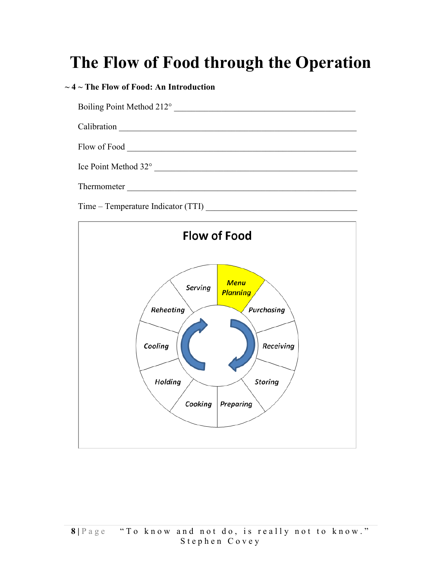# The Flow of Food through the Operation

#### $\sim$  4  $\sim$  The Flow of Food: An Introduction

| Boiling Point Method 212°                                                  |
|----------------------------------------------------------------------------|
| Calibration<br><u> 1980 - Jan Alexandri, fizikar matematika (h. 1980).</u> |
| Flow of Food                                                               |
| Ice Point Method 32°                                                       |
| Thermometer                                                                |

Time – Temperature Indicator (TTI) \_\_\_\_\_\_\_\_\_\_\_\_\_\_\_\_\_\_\_\_\_\_\_\_\_\_\_\_\_\_\_\_\_\_\_

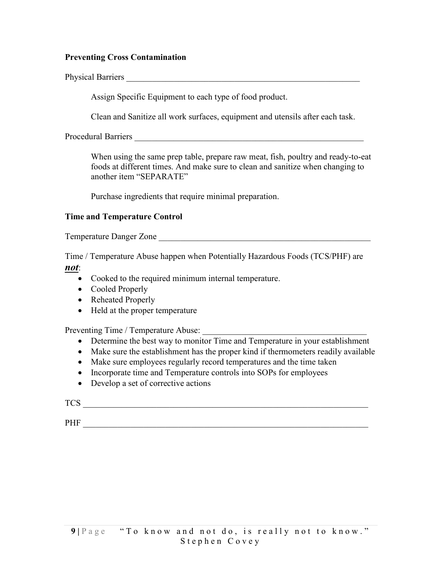#### Preventing Cross Contamination

Physical Barriers **Executive Contract Properties** 

Assign Specific Equipment to each type of food product.

Clean and Sanitize all work surfaces, equipment and utensils after each task.

Procedural Barriers **and Exercise 2** 

When using the same prep table, prepare raw meat, fish, poultry and ready-to-eat foods at different times. And make sure to clean and sanitize when changing to another item "SEPARATE"

Purchase ingredients that require minimal preparation.

#### Time and Temperature Control

Temperature Danger Zone \_\_\_\_\_\_\_\_\_\_\_\_\_\_\_\_\_\_\_\_\_\_\_\_\_\_\_\_\_\_\_\_\_\_\_\_\_\_\_\_\_\_\_\_\_\_\_\_\_

Time / Temperature Abuse happen when Potentially Hazardous Foods (TCS/PHF) are

not:

- Cooked to the required minimum internal temperature.
- Cooled Properly
- Reheated Properly
- Held at the proper temperature

Preventing Time / Temperature Abuse:

- Determine the best way to monitor Time and Temperature in your establishment
- Make sure the establishment has the proper kind if thermometers readily available
- Make sure employees regularly record temperatures and the time taken
- Incorporate time and Temperature controls into SOPs for employees
- Develop a set of corrective actions

TCS TO THE TOWER TO THE TOWER TO THE TOP OF THE TOP OF THE TOP OF THE TOP OF THE TOP OF THE TOP OF THE TOP OF THE TOP OF THE TOP OF THE TOP OF THE TOP OF THE TOP OF THE TOP OF THE TOP OF THE TOP OF THE TOP OF THE TOP OF TH

PHF \_\_\_\_\_\_\_\_\_\_\_\_\_\_\_\_\_\_\_\_\_\_\_\_\_\_\_\_\_\_\_\_\_\_\_\_\_\_\_\_\_\_\_\_\_\_\_\_\_\_\_\_\_\_\_\_\_\_\_\_\_\_\_\_\_\_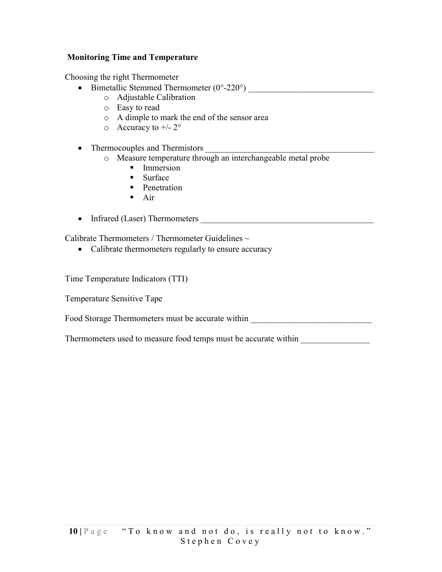#### Monitoring Time and Temperature

Choosing the right Thermometer

- Bimetallic Stemmed Thermometer  $(0^{\circ}$ -220°)
	- o Adjustable Calibration
	- o Easy to read
	- o A dimple to mark the end of the sensor area
	- $\circ$  Accuracy to  $+/2^{\circ}$
- Thermocouples and Thermistors
	- o Measure temperature through an interchangeable metal probe
		- **Immersion**
		- **Surface**
		- **Penetration**
		- $Air$
- Infrared (Laser) Thermometers

Calibrate Thermometers / Thermometer Guidelines  $\sim$ 

• Calibrate thermometers regularly to ensure accuracy

Time Temperature Indicators (TTI)

Temperature Sensitive Tape

Food Storage Thermometers must be accurate within

Thermometers used to measure food temps must be accurate within \_\_\_\_\_\_\_\_\_\_\_\_\_\_\_\_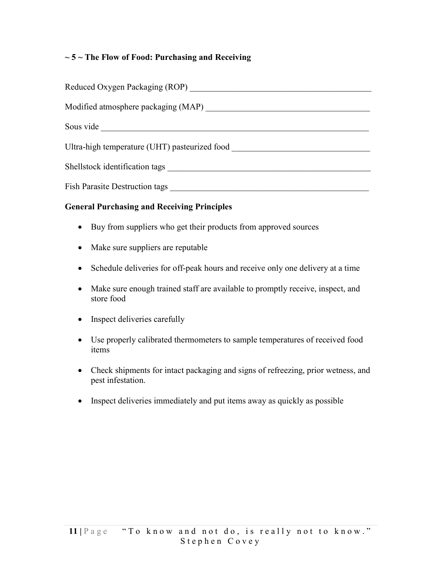#### $\sim$  5  $\sim$  The Flow of Food: Purchasing and Receiving

| Reduced Oxygen Packaging (ROP)                |
|-----------------------------------------------|
| Modified atmosphere packaging (MAP)           |
| Sous vide                                     |
| Ultra-high temperature (UHT) pasteurized food |
| Shellstock identification tags                |
| <b>Fish Parasite Destruction tags</b>         |

#### General Purchasing and Receiving Principles

- Buy from suppliers who get their products from approved sources
- Make sure suppliers are reputable
- Schedule deliveries for off-peak hours and receive only one delivery at a time
- Make sure enough trained staff are available to promptly receive, inspect, and store food
- Inspect deliveries carefully
- Use properly calibrated thermometers to sample temperatures of received food items
- Check shipments for intact packaging and signs of refreezing, prior wetness, and pest infestation.
- Inspect deliveries immediately and put items away as quickly as possible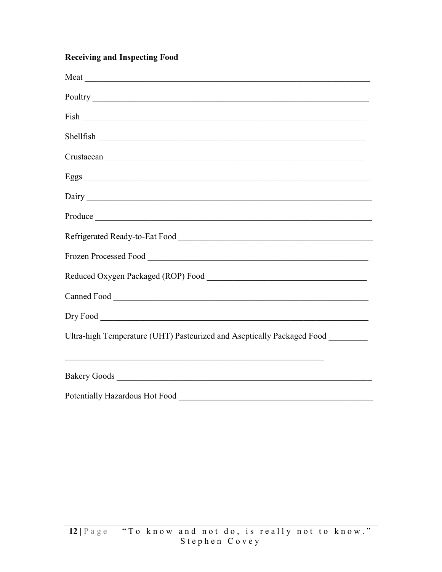#### **Receiving and Inspecting Food**

| Ultra-high Temperature (UHT) Pasteurized and Aseptically Packaged Food ________ |
|---------------------------------------------------------------------------------|
|                                                                                 |
|                                                                                 |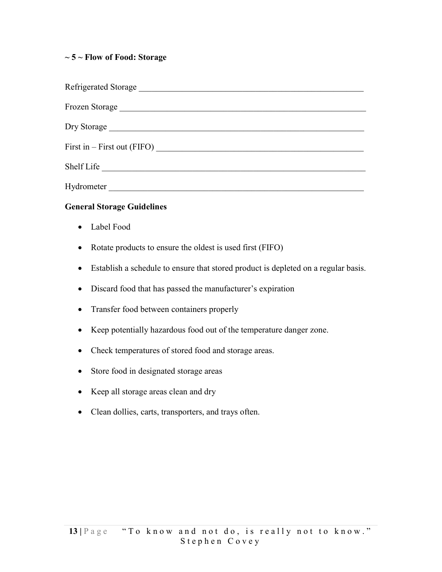#### $\sim$  5  $\sim$  Flow of Food: Storage

| First in $-$ First out (FIFO) $\qquad \qquad$ |
|-----------------------------------------------|
| Shelf Life                                    |
| Hydrometer                                    |

#### General Storage Guidelines

- Label Food
- Rotate products to ensure the oldest is used first (FIFO)
- Establish a schedule to ensure that stored product is depleted on a regular basis.
- Discard food that has passed the manufacturer's expiration
- Transfer food between containers properly
- Keep potentially hazardous food out of the temperature danger zone.
- Check temperatures of stored food and storage areas.
- Store food in designated storage areas
- Keep all storage areas clean and dry
- Clean dollies, carts, transporters, and trays often.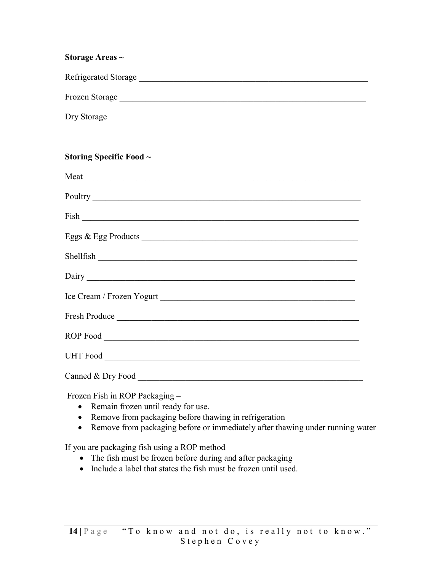# Storage Areas ~ Refrigerated Storage \_\_\_\_\_\_\_\_\_\_\_\_\_\_\_\_\_\_\_\_\_\_\_\_\_\_\_\_\_\_\_\_\_\_\_\_\_\_\_\_\_\_\_\_\_\_\_\_\_\_\_\_\_ Frozen Storage \_\_\_\_\_\_\_\_\_\_\_\_\_\_\_\_\_\_\_\_\_\_\_\_\_\_\_\_\_\_\_\_\_\_\_\_\_\_\_\_\_\_\_\_\_\_\_\_\_\_\_\_\_\_\_\_\_ Dry Storage \_\_\_\_\_\_\_\_\_\_\_\_\_\_\_\_\_\_\_\_\_\_\_\_\_\_\_\_\_\_\_\_\_\_\_\_\_\_\_\_\_\_\_\_\_\_\_\_\_\_\_\_\_\_\_\_\_\_\_

#### Storing Specific Food ~

| Shellfish         |
|-------------------|
|                   |
|                   |
|                   |
|                   |
|                   |
| Canned & Dry Food |

Frozen Fish in ROP Packaging –

- Remain frozen until ready for use.
- Remove from packaging before thawing in refrigeration
- Remove from packaging before or immediately after thawing under running water

If you are packaging fish using a ROP method

- The fish must be frozen before during and after packaging
- Include a label that states the fish must be frozen until used.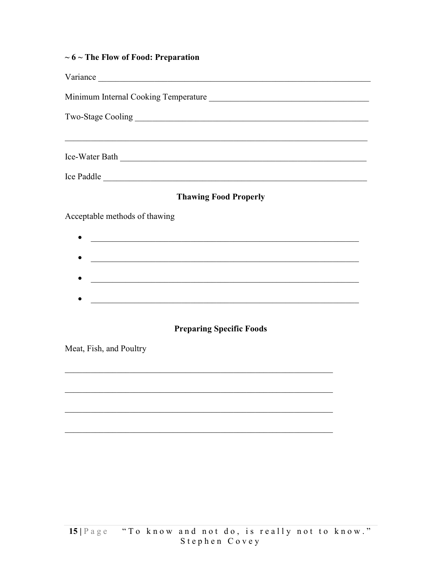|  | $\sim$ 6 $\sim$ The Flow of Food: Preparation |
|--|-----------------------------------------------|
|--|-----------------------------------------------|

| Ice-Water Bath                                                                                                                                                                                                                                                                                                                         |  |  |
|----------------------------------------------------------------------------------------------------------------------------------------------------------------------------------------------------------------------------------------------------------------------------------------------------------------------------------------|--|--|
| Ice Paddle                                                                                                                                                                                                                                                                                                                             |  |  |
| <b>Thawing Food Properly</b>                                                                                                                                                                                                                                                                                                           |  |  |
| Acceptable methods of thawing<br><u> 1989 - Jan James James Barnett, amerikan basar dan berasal di sebagai pertama di sebagai pertama di sebagai p</u><br>a se provincia de la construcción de la construcción de la construcción de la construcción de la construcción<br><u> 1989 - Johann Stoff, amerikansk politiker (d. 1989)</u> |  |  |
| <b>Preparing Specific Foods</b><br>Meat, Fish, and Poultry                                                                                                                                                                                                                                                                             |  |  |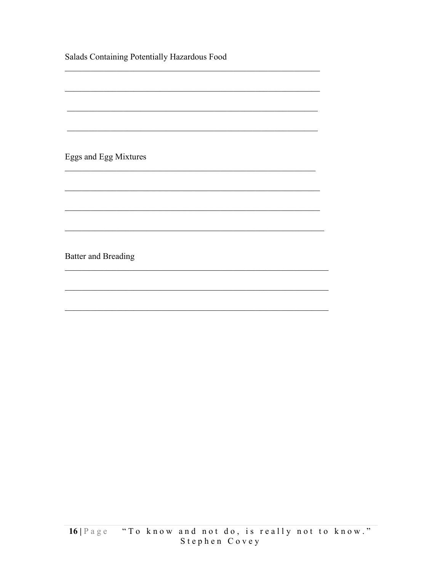| Salads Containing Potentially Hazardous Food |  |
|----------------------------------------------|--|
|                                              |  |
|                                              |  |
|                                              |  |
|                                              |  |
| Eggs and Egg Mixtures                        |  |
|                                              |  |
|                                              |  |
|                                              |  |
|                                              |  |
| <b>Batter and Breading</b>                   |  |
|                                              |  |
|                                              |  |
|                                              |  |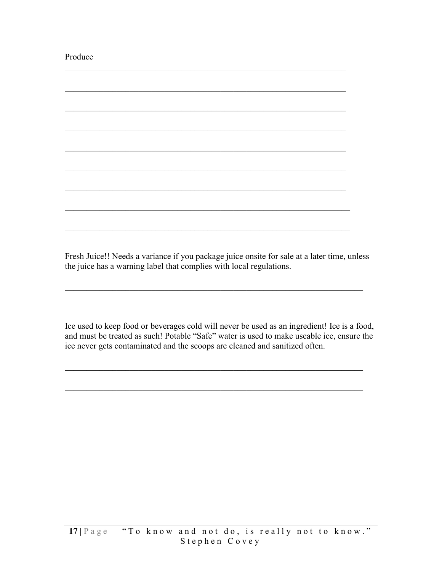Produce

Fresh Juice!! Needs a variance if you package juice onsite for sale at a later time, unless the juice has a warning label that complies with local regulations.

Ice used to keep food or beverages cold will never be used as an ingredient! Ice is a food, and must be treated as such! Potable "Safe" water is used to make useable ice, ensure the ice never gets contaminated and the scoops are cleaned and sanitized often.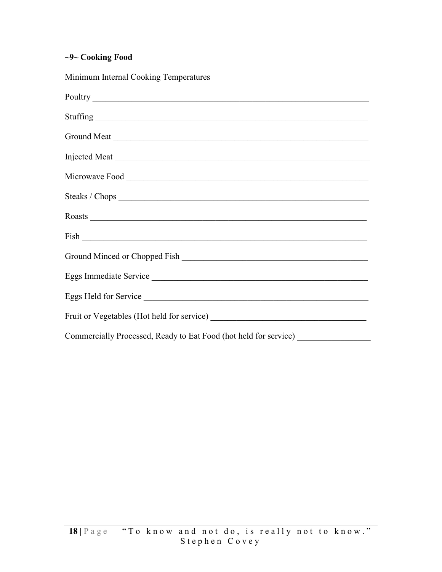#### ~9~ Cooking Food

Minimum Internal Cooking Temperatures Poultry \_\_\_\_\_\_\_\_\_\_\_\_\_\_\_\_\_\_\_\_\_\_\_\_\_\_\_\_\_\_\_\_\_\_\_\_\_\_\_\_\_\_\_\_\_\_\_\_\_\_\_\_\_\_\_\_\_\_\_\_\_\_\_\_  $Stuffing$ Ground Meat \_\_\_\_\_\_\_\_\_\_\_\_\_\_\_\_\_\_\_\_\_\_\_\_\_\_\_\_\_\_\_\_\_\_\_\_\_\_\_\_\_\_\_\_\_\_\_\_\_\_\_\_\_\_\_\_\_\_\_ Injected Meat Microwave Food \_\_\_\_\_\_\_\_\_\_\_\_\_\_\_\_\_\_\_\_\_\_\_\_\_\_\_\_\_\_\_\_\_\_\_\_\_\_\_\_\_\_\_\_\_\_\_\_\_\_\_\_\_\_\_\_ Steaks / Chops  $\overline{\phantom{a}}$ Roasts \_\_\_\_\_\_\_\_\_\_\_\_\_\_\_\_\_\_\_\_\_\_\_\_\_\_\_\_\_\_\_\_\_\_\_\_\_\_\_\_\_\_\_\_\_\_\_\_\_\_\_\_\_\_\_\_\_\_\_\_\_\_\_\_ Fish \_\_\_\_\_\_\_\_\_\_\_\_\_\_\_\_\_\_\_\_\_\_\_\_\_\_\_\_\_\_\_\_\_\_\_\_\_\_\_\_\_\_\_\_\_\_\_\_\_\_\_\_\_\_\_\_\_\_\_\_\_\_\_\_\_\_ Ground Minced or Chopped Fish \_\_\_\_\_\_\_\_\_\_\_\_\_\_\_\_\_\_\_\_\_\_\_\_\_\_\_\_\_\_\_\_\_\_\_\_\_\_\_\_\_\_\_ Eggs Immediate Service \_\_\_\_\_\_\_\_\_\_\_\_\_\_\_\_\_\_\_\_\_\_\_\_\_\_\_\_\_\_\_\_\_\_\_\_\_\_\_\_\_\_\_\_\_\_\_\_\_\_ Eggs Held for Service \_\_\_\_\_\_\_\_\_\_\_\_\_\_\_\_\_\_\_\_\_\_\_\_\_\_\_\_\_\_\_\_\_\_\_\_\_\_\_\_\_\_\_\_\_\_\_\_\_\_\_\_ Fruit or Vegetables (Hot held for service) \_\_\_\_\_\_\_\_\_\_\_\_\_\_\_\_\_\_\_\_\_\_\_\_\_\_\_\_\_\_\_\_\_\_\_\_ Commercially Processed, Ready to Eat Food (hot held for service) \_\_\_\_\_\_\_\_\_\_\_\_\_\_\_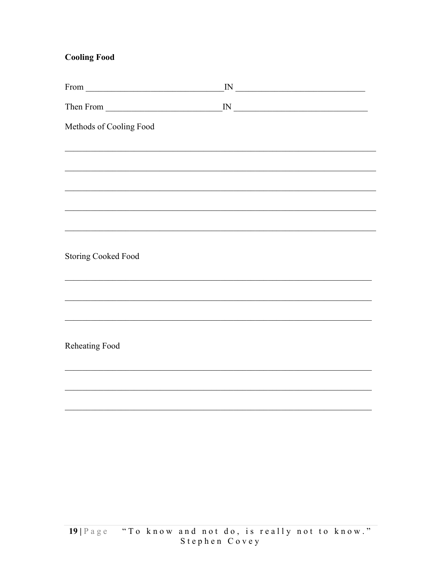#### **Cooling Food**

| $From \_$                  | $\frac{1}{2}$ M                                                                                                                     |
|----------------------------|-------------------------------------------------------------------------------------------------------------------------------------|
|                            | ${\rm IN}$<br><u> Alexandria de la contrada de la contrada de la contrada de la contrada de la contrada de la contrada de la co</u> |
| Methods of Cooling Food    |                                                                                                                                     |
|                            |                                                                                                                                     |
|                            | ,我们也不能在这里的时候,我们也不能在这里的时候,我们也不能会在这里的时候,我们也不能会在这里的时候,我们也不能会在这里的时候,我们也不能会在这里的时候,我们也                                                    |
|                            |                                                                                                                                     |
|                            |                                                                                                                                     |
|                            |                                                                                                                                     |
|                            |                                                                                                                                     |
| <b>Storing Cooked Food</b> |                                                                                                                                     |
|                            |                                                                                                                                     |
|                            |                                                                                                                                     |
|                            |                                                                                                                                     |
| Reheating Food             |                                                                                                                                     |
|                            |                                                                                                                                     |
|                            |                                                                                                                                     |
|                            |                                                                                                                                     |
|                            |                                                                                                                                     |
|                            |                                                                                                                                     |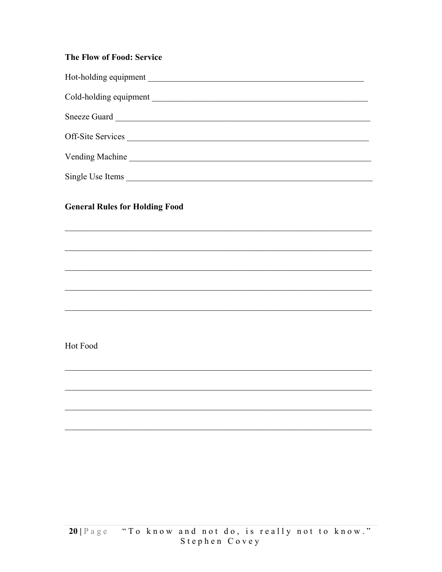#### The Flow of Food: Service

| Hot-holding equipment  |
|------------------------|
| Cold-holding equipment |
| Sneeze Guard           |
| Off-Site Services      |
| <b>Vending Machine</b> |
| Single Use Items       |

<u> 1980 - John Stein, Amerikaansk politiker</u>

#### **General Rules for Holding Food**

Hot Food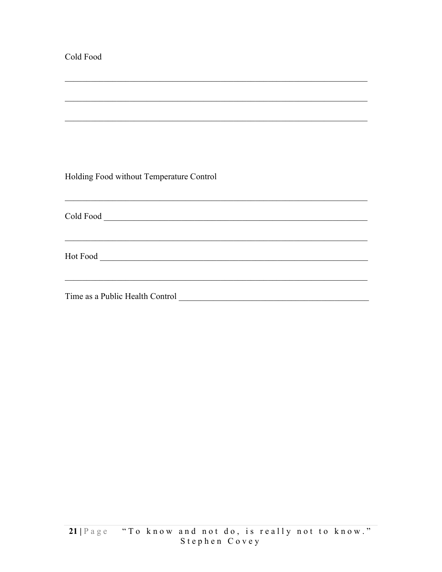| Cold Food                                                                                                                                             |  |
|-------------------------------------------------------------------------------------------------------------------------------------------------------|--|
| ,我们也不能在这里的时候,我们也不能在这里的时候,我们也不能在这里的时候,我们也不能会不能会不能会不能会不能会不能会不能会不能会。<br>第2012章 我们的时候,我们的时候,我们的时候,我们的时候,我们的时候,我们的时候,我们的时候,我们的时候,我们的时候,我们的时候,我们的时候,我们的时候,我 |  |
| ,我们也不能在这里的人,我们也不能在这里的人,我们也不能在这里的人,我们也不能在这里的人,我们也不能在这里的人,我们也不能在这里的人,我们也不能在这里的人,我们也                                                                     |  |
|                                                                                                                                                       |  |
|                                                                                                                                                       |  |
|                                                                                                                                                       |  |
|                                                                                                                                                       |  |
| Holding Food without Temperature Control                                                                                                              |  |
| ,我们也不能在这里的人,我们也不能在这里的人,我们也不能在这里的人,我们也不能在这里的人,我们也不能在这里的人,我们也不能在这里的人,我们也不能在这里的人,我们也                                                                     |  |
|                                                                                                                                                       |  |
|                                                                                                                                                       |  |
| ,我们也不能在这里的人,我们也不能在这里的人,我们也不能在这里的人,我们也不能在这里的人,我们也不能在这里的人,我们也不能在这里的人,我们也不能在这里的人,我们也                                                                     |  |
|                                                                                                                                                       |  |
|                                                                                                                                                       |  |
|                                                                                                                                                       |  |
|                                                                                                                                                       |  |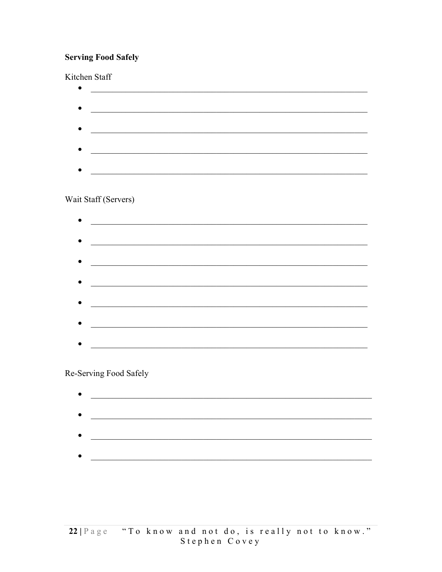#### **Serving Food Safely**

#### Kitchen Staff

| Wait Staff (Servers) |  |  |
|----------------------|--|--|
|                      |  |  |
|                      |  |  |
|                      |  |  |
|                      |  |  |
|                      |  |  |
|                      |  |  |
|                      |  |  |
|                      |  |  |
|                      |  |  |
|                      |  |  |
|                      |  |  |
|                      |  |  |
|                      |  |  |

#### Re-Serving Food Safely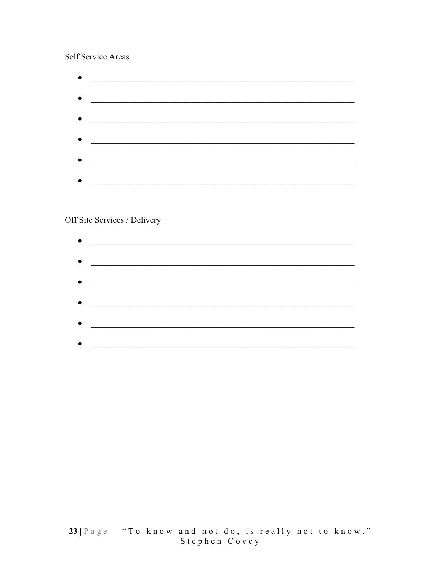#### Self Service Areas

Off Site Services / Delivery

| $\bullet$ | <u> 1989 - Johann John Stone, mars eta bainar eta industrial eta eta baina eta eta eta baina eta eta eta eta eta</u> |
|-----------|----------------------------------------------------------------------------------------------------------------------|
|           |                                                                                                                      |
| $\bullet$ |                                                                                                                      |
|           |                                                                                                                      |
| $\bullet$ |                                                                                                                      |
| $\bullet$ |                                                                                                                      |
|           |                                                                                                                      |
| $\bullet$ |                                                                                                                      |
|           |                                                                                                                      |
|           |                                                                                                                      |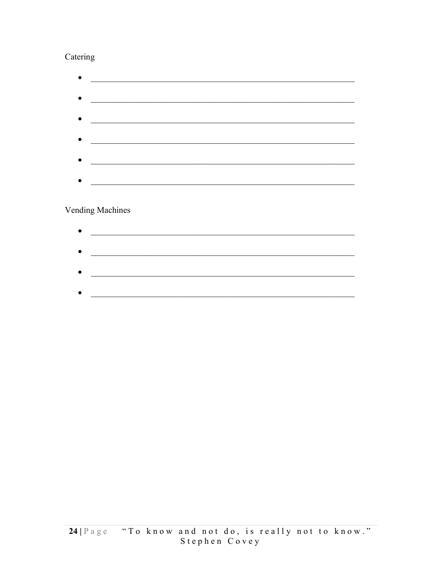#### Catering

| <u> 1990 - Johann Barbara, martin a</u>                                                                               |  |
|-----------------------------------------------------------------------------------------------------------------------|--|
| <u> 1989 - Johann Harry Harry Harry Harry Harry Harry Harry Harry Harry Harry Harry Harry Harry Harry Harry Harry</u> |  |
| <u> 1990 - Johann Barbara, martin a</u>                                                                               |  |
|                                                                                                                       |  |
|                                                                                                                       |  |
|                                                                                                                       |  |

#### Vending Machines

| $\bullet$ |  |
|-----------|--|
|           |  |
| $\bullet$ |  |
|           |  |
| $\bullet$ |  |
|           |  |
|           |  |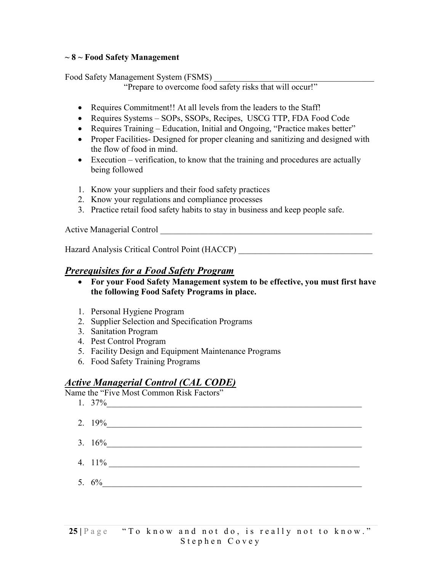#### $\sim$  8  $\sim$  Food Safety Management

Food Safety Management System (FSMS)

"Prepare to overcome food safety risks that will occur!"

- Requires Commitment!! At all levels from the leaders to the Staff!
- Requires Systems SOPs, SSOPs, Recipes, USCG TTP, FDA Food Code
- Requires Training Education, Initial and Ongoing, "Practice makes better"
- Proper Facilities- Designed for proper cleaning and sanitizing and designed with the flow of food in mind.
- Execution verification, to know that the training and procedures are actually being followed
- 1. Know your suppliers and their food safety practices
- 2. Know your regulations and compliance processes
- 3. Practice retail food safety habits to stay in business and keep people safe.

Active Managerial Control \_\_\_\_\_\_\_\_\_\_\_\_\_\_\_\_\_\_\_\_\_\_\_\_\_\_\_\_\_\_\_\_\_\_\_\_\_\_\_\_\_\_\_\_\_\_\_\_\_

Hazard Analysis Critical Control Point (HACCP) \_\_\_\_\_\_\_\_\_\_\_\_\_\_\_\_\_\_\_\_\_\_\_\_\_\_\_\_\_\_\_\_\_

#### Prerequisites for a Food Safety Program

- For your Food Safety Management system to be effective, you must first have the following Food Safety Programs in place.
- 1. Personal Hygiene Program
- 2. Supplier Selection and Specification Programs
- 3. Sanitation Program
- 4. Pest Control Program
- 5. Facility Design and Equipment Maintenance Programs
- 6. Food Safety Training Programs

#### Active Managerial Control (CAL CODE)

Name the "Five Most Common Risk Factors"

| 1. $37\%$ |
|-----------|
| 2. $19%$  |
| 3. $16\%$ |
| 4. $11\%$ |
| 5. $6\%$  |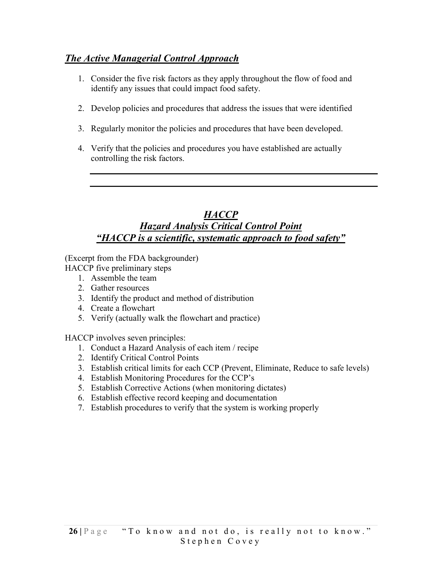#### The Active Managerial Control Approach

- 1. Consider the five risk factors as they apply throughout the flow of food and identify any issues that could impact food safety.
- 2. Develop policies and procedures that address the issues that were identified
- 3. Regularly monitor the policies and procedures that have been developed.
- 4. Verify that the policies and procedures you have established are actually controlling the risk factors.

#### **HACCP** Hazard Analysis Critical Control Point "HACCP is a scientific, systematic approach to food safety"

(Excerpt from the FDA backgrounder)

HACCP five preliminary steps

- 1. Assemble the team
- 2. Gather resources
- 3. Identify the product and method of distribution
- 4. Create a flowchart
- 5. Verify (actually walk the flowchart and practice)

HACCP involves seven principles:

- 1. Conduct a Hazard Analysis of each item / recipe
- 2. Identify Critical Control Points
- 3. Establish critical limits for each CCP (Prevent, Eliminate, Reduce to safe levels)
- 4. Establish Monitoring Procedures for the CCP's
- 5. Establish Corrective Actions (when monitoring dictates)
- 6. Establish effective record keeping and documentation
- 7. Establish procedures to verify that the system is working properly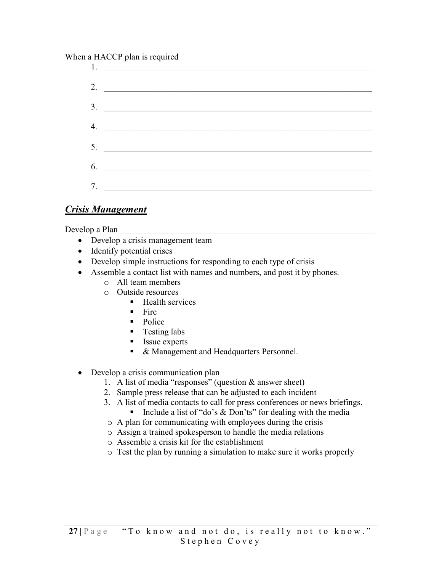#### When a HACCP plan is required

| <u>l.</u>            |
|----------------------|
| 2. $\qquad \qquad$   |
| $3.$ $\qquad \qquad$ |
| 4. $\qquad \qquad$   |
| 5.                   |
| 6.                   |
| 7.                   |
|                      |

#### **Crisis Management**

Develop a Plan

- Develop a crisis management team
- Identify potential crises
- Develop simple instructions for responding to each type of crisis
- Assemble a contact list with names and numbers, and post it by phones.
	- o All team members
		- $\circ$  Outside resources
			- Health services
			- $\blacksquare$  Fire
			- Police
			- Testing labs
			- Issue experts
			- $\blacksquare$ & Management and Headquarters Personnel.
- Develop a crisis communication plan
	- 1. A list of media "responses" (question  $&$  answer sheet)
	- 2. Sample press release that can be adjusted to each incident
	- 3. A list of media contacts to call for press conferences or news briefings.
		- Include a list of "do's  $&$  Don'ts" for dealing with the media
	- o A plan for communicating with employees during the crisis
	- o Assign a trained spokesperson to handle the media relations
	- $\circ$  Assemble a crisis kit for the establishment
	- o Test the plan by running a simulation to make sure it works properly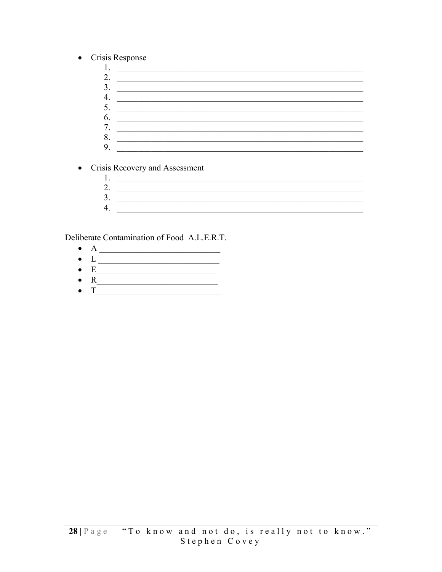- Crisis Response  $\bullet$ 
	- 2.  $\overline{\phantom{a}}$  $3.$ 4.  $\overline{\phantom{a}}$ 7. 8.  $9.$

• Crisis Recovery and Assessment

2.  $\frac{1}{\sqrt{1-\frac{1}{2}}}$  $\frac{3}{2}$ 

Deliberate Contamination of Food A.L.E.R.T.

- $\bullet$
- 
- 
-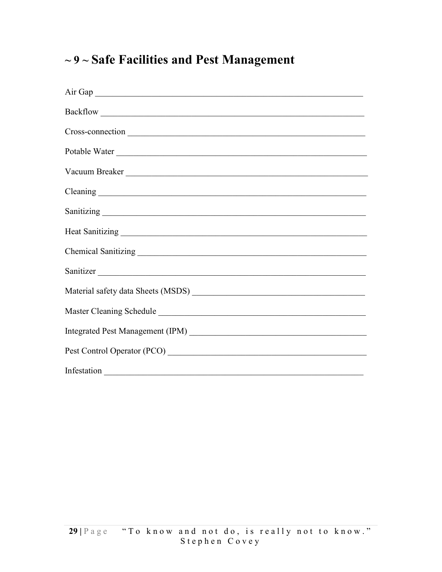### $\sim$  9  $\sim$  Safe Facilities and Pest Management

| Air Gap       |
|---------------|
|               |
|               |
| Potable Water |
|               |
|               |
|               |
|               |
|               |
|               |
|               |
|               |
|               |
|               |
|               |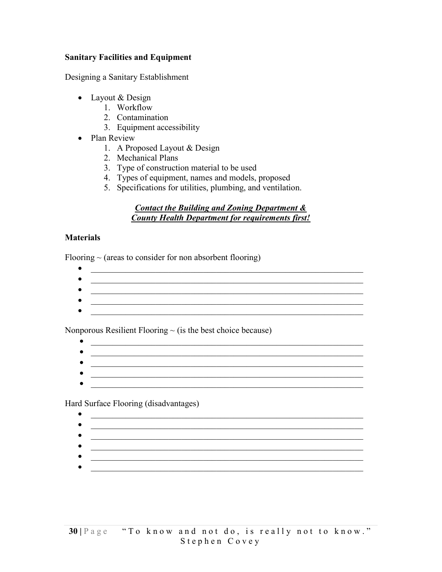#### Sanitary Facilities and Equipment

Designing a Sanitary Establishment

- Layout & Design
	- 1. Workflow
	- 2. Contamination
	- 3. Equipment accessibility
- Plan Review
	- 1. A Proposed Layout & Design
	- 2. Mechanical Plans
	- 3. Type of construction material to be used
	- 4. Types of equipment, names and models, proposed
	- 5. Specifications for utilities, plumbing, and ventilation.

#### Contact the Building and Zoning Department & County Health Department for requirements first!

#### **Materials**

Flooring  $\sim$  (areas to consider for non absorbent flooring)

- \_\_\_\_\_\_\_\_\_\_\_\_\_\_\_\_\_\_\_\_\_\_\_\_\_\_\_\_\_\_\_\_\_\_\_\_\_\_\_\_\_\_\_\_\_\_\_\_\_\_\_\_\_\_\_\_\_\_\_\_\_\_\_  $\mathcal{L}_\text{max}$  , and the contract of the contract of the contract of the contract of the contract of the contract of the contract of the contract of the contract of the contract of the contract of the contract of the contr
- \_\_\_\_\_\_\_\_\_\_\_\_\_\_\_\_\_\_\_\_\_\_\_\_\_\_\_\_\_\_\_\_\_\_\_\_\_\_\_\_\_\_\_\_\_\_\_\_\_\_\_\_\_\_\_\_\_\_\_\_\_\_\_
- $\bullet$  . The contract of the contract of the contract of the contract of the contract of the contract of the contract of

Nonporous Resilient Flooring  $\sim$  (is the best choice because)

- \_\_\_\_\_\_\_\_\_\_\_\_\_\_\_\_\_\_\_\_\_\_\_\_\_\_\_\_\_\_\_\_\_\_\_\_\_\_\_\_\_\_\_\_\_\_\_\_\_\_\_\_\_\_\_\_\_\_\_\_\_\_\_
	-
- 

Hard Surface Flooring (disadvantages)

- 
- $\bullet$  . The contract of the contract of the contract of the contract of the contract of the contract of the contract of
- $\bullet$  , and the contribution of the contribution of the contribution of the contribution of the contribution of the contribution of the contribution of the contribution of the contribution of the contribution of the contri
-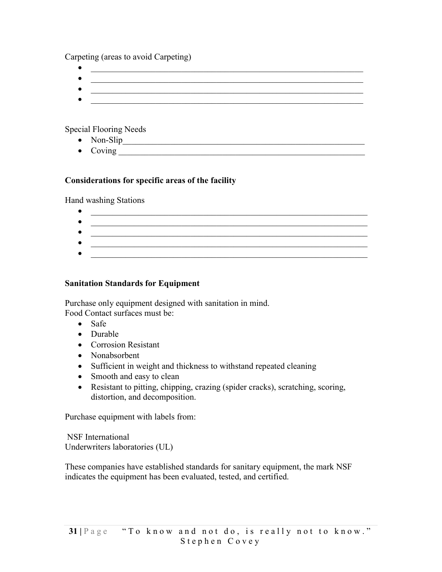Carpeting (areas to avoid Carpeting)

- \_\_\_\_\_\_\_\_\_\_\_\_\_\_\_\_\_\_\_\_\_\_\_\_\_\_\_\_\_\_\_\_\_\_\_\_\_\_\_\_\_\_\_\_\_\_\_\_\_\_\_\_\_\_\_\_\_\_\_\_\_\_\_
- $\overline{\phantom{a}}$  , and the contribution of the contribution of the contribution of the contribution of the contribution of the contribution of the contribution of the contribution of the contribution of the contribution of the
- $\bullet$   $\overline{\phantom{a}}$   $\overline{\phantom{a}}$   $\overline{\phantom{a}}$   $\overline{\phantom{a}}$   $\overline{\phantom{a}}$   $\overline{\phantom{a}}$   $\overline{\phantom{a}}$   $\overline{\phantom{a}}$   $\overline{\phantom{a}}$   $\overline{\phantom{a}}$   $\overline{\phantom{a}}$   $\overline{\phantom{a}}$   $\overline{\phantom{a}}$   $\overline{\phantom{a}}$   $\overline{\phantom{a}}$   $\overline{\phantom{a}}$   $\overline{\phantom{a}}$   $\overline{\phantom{a}}$   $\mathcal{L}_\text{max} = \frac{1}{2} \sum_{i=1}^n \frac{1}{2} \sum_{i=1}^n \frac{1}{2} \sum_{i=1}^n \frac{1}{2} \sum_{i=1}^n \frac{1}{2} \sum_{i=1}^n \frac{1}{2} \sum_{i=1}^n \frac{1}{2} \sum_{i=1}^n \frac{1}{2} \sum_{i=1}^n \frac{1}{2} \sum_{i=1}^n \frac{1}{2} \sum_{i=1}^n \frac{1}{2} \sum_{i=1}^n \frac{1}{2} \sum_{i=1}^n \frac{1}{2} \sum_{i=1}^n$

Special Flooring Needs

- Non-Slip\_\_\_\_\_\_\_\_\_\_\_\_\_\_\_\_\_\_\_\_\_\_\_\_\_\_\_\_\_\_\_\_\_\_\_\_\_\_\_\_\_\_\_\_\_\_\_\_\_\_\_\_\_\_\_\_
- $\bullet$  Coving  $\qquad \qquad$

#### Considerations for specific areas of the facility

Hand washing Stations

 $\bullet$  . The contract of the contract of the contract of the contract of the contract of the contract of the contract of the contract of the contract of the contract of the contract of the contract of the contract of the co  $\mathcal{L}_\mathcal{L}$  , and the set of the set of the set of the set of the set of the set of the set of the set of the set of the set of the set of the set of the set of the set of the set of the set of the set of the set of th

#### Sanitation Standards for Equipment

Purchase only equipment designed with sanitation in mind. Food Contact surfaces must be:

- Safe
- Durable
- Corrosion Resistant
- Nonabsorbent
- Sufficient in weight and thickness to withstand repeated cleaning
- Smooth and easy to clean
- Resistant to pitting, chipping, crazing (spider cracks), scratching, scoring, distortion, and decomposition.

Purchase equipment with labels from:

 NSF International Underwriters laboratories (UL)

These companies have established standards for sanitary equipment, the mark NSF indicates the equipment has been evaluated, tested, and certified.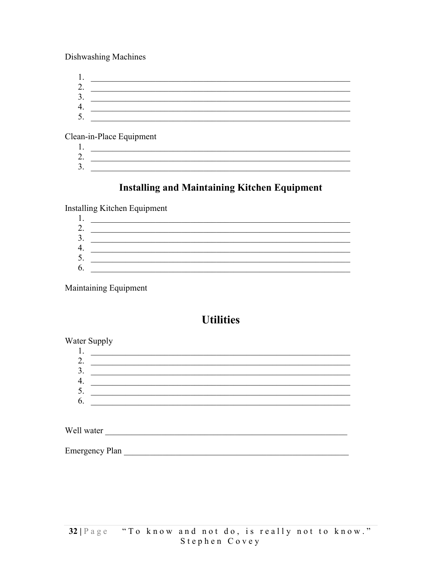Dishwashing Machines

Clean-in-Place Equipment

2.  $\overline{\qquad \qquad }$  $\frac{3}{2}$ 

### **Installing and Maintaining Kitchen Equipment**

**Installing Kitchen Equipment** 

| ◠<br><u>، ،</u>   |  |
|-------------------|--|
| $\mathbf 3$<br>J. |  |
|                   |  |
| 5.                |  |
| 6.                |  |

Maintaining Equipment

### **Utilities**

#### Water Supply

Emergency Plan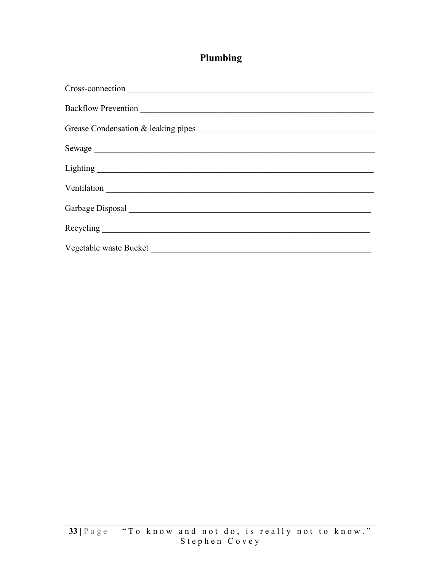### Plumbing

| Ventilation            |
|------------------------|
|                        |
|                        |
| Vegetable waste Bucket |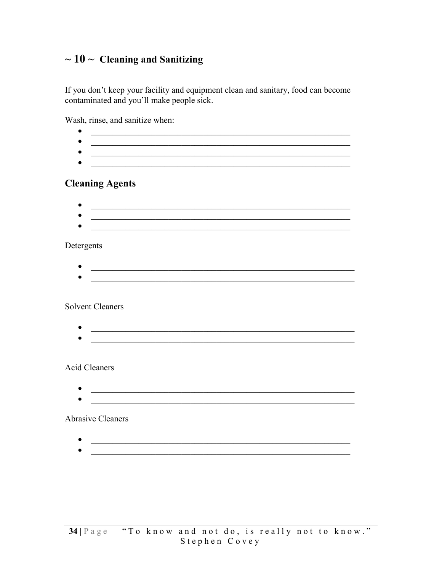### $\sim$  10  $\sim$  Cleaning and Sanitizing

If you don't keep your facility and equipment clean and sanitary, food can become contaminated and you'll make people sick.

Wash, rinse, and sanitize when:

|            | the control of the control of the control of the control of the control of the control of                                     |  |  |
|------------|-------------------------------------------------------------------------------------------------------------------------------|--|--|
|            |                                                                                                                               |  |  |
|            | <b>Cleaning Agents</b>                                                                                                        |  |  |
|            | <u> 1989 - Johann John Stone, mars et al. 1989 - John Stone, mars et al. 1989 - John Stone, mars et al. 1989 - John Stone</u> |  |  |
|            | <u> 1989 - Johann John Stone, martin de Brasilia (h. 1989).</u>                                                               |  |  |
|            |                                                                                                                               |  |  |
| Detergents |                                                                                                                               |  |  |
|            |                                                                                                                               |  |  |
|            | <u> 1989 - Johann John Stein, marwolaethau (b. 1989)</u>                                                                      |  |  |
|            |                                                                                                                               |  |  |
|            |                                                                                                                               |  |  |
|            | <b>Solvent Cleaners</b>                                                                                                       |  |  |
|            |                                                                                                                               |  |  |
|            | <u> 1990 - Johann John Stoff, mars and de Brasilian (b. 1980)</u>                                                             |  |  |
|            |                                                                                                                               |  |  |
|            | <b>Acid Cleaners</b>                                                                                                          |  |  |
|            |                                                                                                                               |  |  |
|            |                                                                                                                               |  |  |
|            |                                                                                                                               |  |  |
|            | <b>Abrasive Cleaners</b>                                                                                                      |  |  |
|            |                                                                                                                               |  |  |
|            |                                                                                                                               |  |  |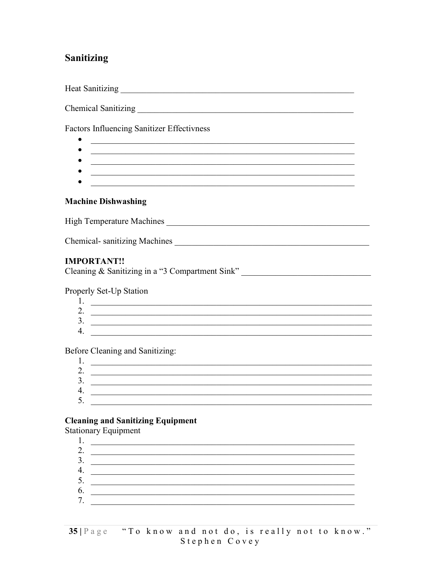#### **Sanitizing**

**Factors Influencing Sanitizer Effectivness** 

- 
- $\bullet$
- $\bullet$
- 

#### **Machine Dishwashing**

Chemical-sanitizing Machines

#### **IMPORTANT!!**

Cleaning & Sanitizing in a "3 Compartment Sink"

#### Properly Set-Up Station

| <u>.</u> |  |
|----------|--|
|          |  |

Before Cleaning and Sanitizing:

| - . |  |
|-----|--|
| ، ب |  |
| . . |  |
|     |  |

#### **Cleaning and Sanitizing Equipment**

**Stationary Equipment** 

| ∍<br><u>L.</u> |  |
|----------------|--|
| 3.             |  |
| т.             |  |
| J.             |  |
| 6.             |  |
| $\tau$         |  |
|                |  |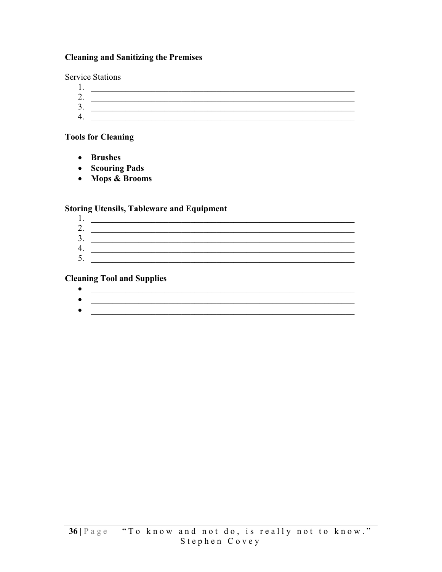#### **Cleaning and Sanitizing the Premises**

**Service Stations** 

2.  $\boxed{\phantom{a}}$  $\frac{1}{2}$ 

#### **Tools for Cleaning**

- Brushes
- Scouring Pads
- Mops & Brooms

#### **Storing Utensils, Tableware and Equipment**

| ⌒<br><u>، ،</u> |  |
|-----------------|--|
| ◠<br>ຸ          |  |
| ∕∣<br>. .       |  |
| ς<br>ັ          |  |

#### **Cleaning Tool and Supplies**

| <b>A</b> |  |
|----------|--|

 $\bullet$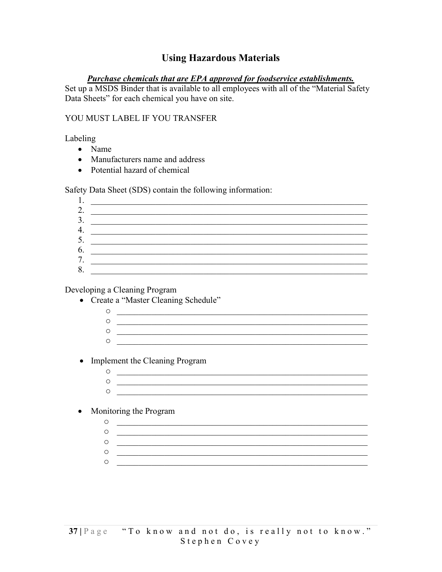#### **Using Hazardous Materials**

#### **Purchase chemicals that are EPA approved for foodservice establishments.**

Set up a MSDS Binder that is available to all employees with all of the "Material Safety Data Sheets" for each chemical you have on site.

#### YOU MUST LABEL IF YOU TRANSFER

#### Labeling

- $\bullet$  Name
- Manufacturers name and address
- Potential hazard of chemical

Safety Data Sheet (SDS) contain the following information:

| . .                     |                                                                                                                                                                                                                                      |
|-------------------------|--------------------------------------------------------------------------------------------------------------------------------------------------------------------------------------------------------------------------------------|
| $\bigcirc$<br><u>L.</u> |                                                                                                                                                                                                                                      |
| 3.                      | <u> 1980 - Jan Barbara Barbara, manazarta da kasas da shekara 1980 - André a Santa Barbara a Santa Barbara a Santa Barbara a Santa Barbara a Santa Barbara a Santa Barbara a Santa Barbara a Santa Barbara a Santa Barbara a San</u> |
| 4.                      |                                                                                                                                                                                                                                      |
| 5.                      |                                                                                                                                                                                                                                      |
| 6.                      |                                                                                                                                                                                                                                      |
| 7<br>$\cdot$            |                                                                                                                                                                                                                                      |
| 8.                      |                                                                                                                                                                                                                                      |

#### Developing a Cleaning Program

- Create a "Master Cleaning Schedule"
	- $\begin{array}{c} \circ \\ \hline \end{array}$  $\begin{array}{cccccccccc} \bullet & \multicolumn{3}{c}{} & \multicolumn{3}{c}{} & \multicolumn{3}{c}{} & \multicolumn{3}{c}{} & \multicolumn{3}{c}{} & \multicolumn{3}{c}{} & \multicolumn{3}{c}{} & \multicolumn{3}{c}{} & \multicolumn{3}{c}{} & \multicolumn{3}{c}{} & \multicolumn{3}{c}{} & \multicolumn{3}{c}{} & \multicolumn{3}{c}{} & \multicolumn{3}{c}{} & \multicolumn{3}{c}{} & \multicolumn{3}{c}{} & \multicolumn{3}{c}{} & \multicolumn{3}{c}{} & \multicolumn{3}{c}{}$  $\circ$   $\qquad$  $\circ$
- Implement the Cleaning Program
	- $\overline{O}$  and  $\overline{O}$  and  $\overline{O}$  and  $\overline{O}$  and  $\overline{O}$  and  $\overline{O}$  and  $\overline{O}$  and  $\overline{O}$  and  $\overline{O}$  and  $\overline{O}$  and  $\overline{O}$  and  $\overline{O}$  and  $\overline{O}$  and  $\overline{O}$  and  $\overline{O}$  and  $\overline{O}$  and  $\overline{O}$  and
- Monitoring the Program
	- $\circ$  $\circ$  $\circ$  $\circ$ <u> 2000 - Jan James James James James James James James James James James James James James James James James J</u>  $\circ$   $\qquad \qquad$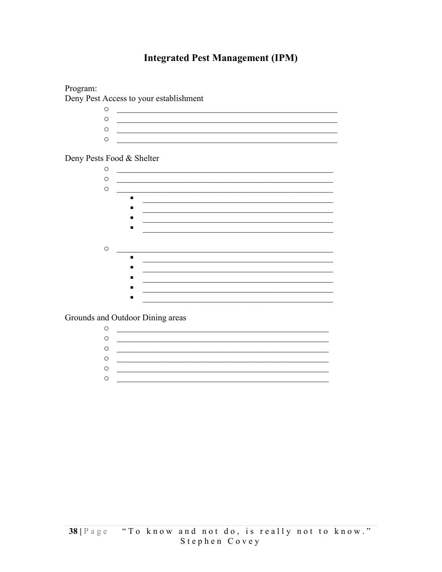#### **Integrated Pest Management (IPM)**



Grounds and Outdoor Dining areas

| О |  |
|---|--|
| O |  |
| O |  |
| O |  |
| O |  |
| О |  |
|   |  |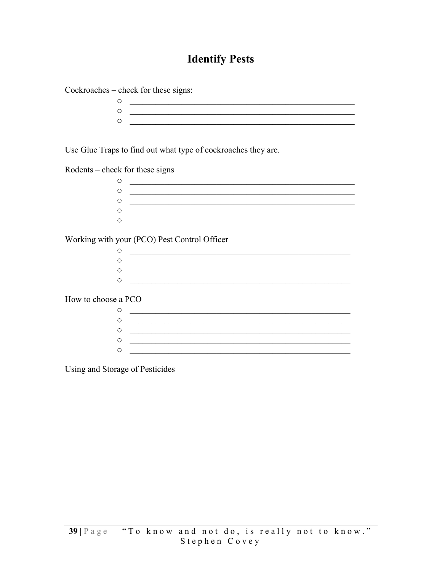### **Identify Pests**

Cockroaches - check for these signs:

Use Glue Traps to find out what type of cockroaches they are.

Rodents – check for these signs

| $\circ$ |  |
|---------|--|
| $\circ$ |  |
| $\circ$ |  |
| $\circ$ |  |
| ∩       |  |
|         |  |

Working with your (PCO) Pest Control Officer

How to choose a PCO

| C |  |
|---|--|
| 0 |  |
| C |  |
| ◠ |  |
| ◠ |  |
|   |  |

Using and Storage of Pesticides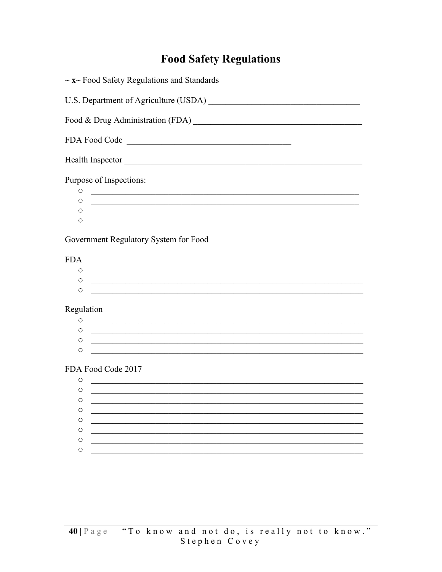### **Food Safety Regulations**

| $\sim$ x $\sim$ Food Safety Regulations and Standards                                                                            |
|----------------------------------------------------------------------------------------------------------------------------------|
|                                                                                                                                  |
|                                                                                                                                  |
| FDA Food Code                                                                                                                    |
| Health Inspector                                                                                                                 |
| Purpose of Inspections:                                                                                                          |
| O<br><u> 1989 - Johann Harry Harry Harry Harry Harry Harry Harry Harry Harry Harry Harry Harry Harry Harry Harry Harry</u>       |
| O                                                                                                                                |
| O<br><u> 1989 - Johann John Stone, markin film ar yn y brenin y brenin y brenin y brenin y brenin y brenin y brenin y</u>        |
| O<br><u> 1989 - Johann Stoff, amerikansk politiker (d. 1989)</u>                                                                 |
| Government Regulatory System for Food                                                                                            |
| <b>FDA</b>                                                                                                                       |
| O<br><u> 1989 - Johann Stoff, amerikansk politiker (d. 1989)</u>                                                                 |
| O<br><u> 1989 - Johann Stoff, amerikansk politiker (d. 1989)</u>                                                                 |
| $\circ$<br><u> 1980 - Johann John Stein, marwolaethau a bhaile an t-Amhain an t-Amhain an t-Amhain an t-Amhain an t-Amhain a</u> |
|                                                                                                                                  |
| Regulation                                                                                                                       |
| O<br><u> 1990 - Johann John Harry Harry Harry Harry Harry Harry Harry Harry Harry Harry Harry Harry Harry Harry Harry H</u>      |
| O                                                                                                                                |
| O                                                                                                                                |
| O                                                                                                                                |
| FDA Food Code 2017                                                                                                               |
| O                                                                                                                                |
| O                                                                                                                                |
| O                                                                                                                                |
| O                                                                                                                                |
| O                                                                                                                                |
| O                                                                                                                                |
| O                                                                                                                                |
| O                                                                                                                                |
|                                                                                                                                  |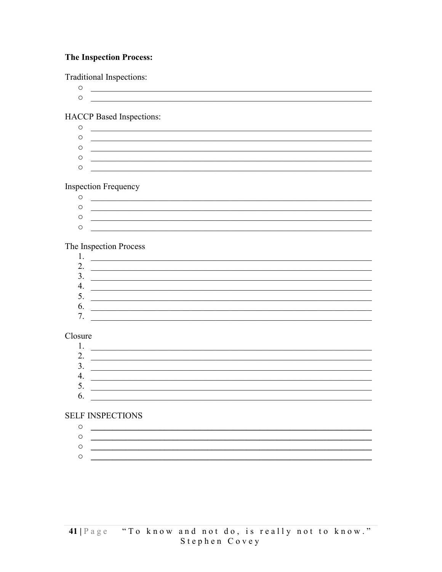#### **The Inspection Process:**

**Traditional Inspections:** 

 $\circ$  $\circ$   $\qquad \qquad$ 

#### **HACCP** Based Inspections:

 $\begin{array}{c} \circ \\ \bullet \\ \hline \end{array}$  $\circ$ <u> 1989 - Jan Barnett, fransk politiker (d. 1989)</u>  $\circ$ 

#### **Inspection Frequency**

<u> 1989 - Johann Stoff, deutscher Stoffen und der Stoffen und der Stoffen und der Stoffen und der Stoffen und de</u>  $\circ$  $\circ$   $\qquad \qquad$ 

#### The Inspection Process

| ◠<br><u>.</u>  |  |
|----------------|--|
| ◠<br>J.        |  |
| т.             |  |
| J.             |  |
| b.             |  |
| $\overline{ }$ |  |

#### Closure

| . .                      |  |
|--------------------------|--|
| $\overline{\phantom{a}}$ |  |
| $\mathbf{R}$<br>J.       |  |
| т.                       |  |
| $\mathcal{L}$ .          |  |
| b.                       |  |

#### **SELF INSPECTIONS**

| ÷ |  |
|---|--|
|   |  |
|   |  |
|   |  |